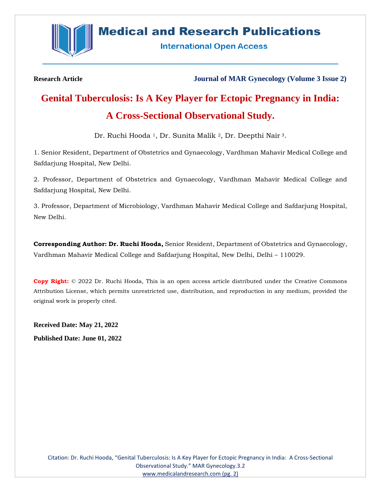

# **Medical and Research Publications**

**International Open Access** 

**Research Article Journal of MAR Gynecology (Volume 3 Issue 2)**

# **Genital Tuberculosis: Is A Key Player for Ectopic Pregnancy in India: A Cross-Sectional Observational Study.**

Dr. Ruchi Hooda<sup>1</sup>, Dr. Sunita Malik<sup>2</sup>, Dr. Deepthi Nair<sup>3</sup>.

1. Senior Resident, Department of Obstetrics and Gynaecology, Vardhman Mahavir Medical College and Safdarjung Hospital, New Delhi.

2. Professor, Department of Obstetrics and Gynaecology, Vardhman Mahavir Medical College and Safdarjung Hospital, New Delhi.

3. Professor, Department of Microbiology, Vardhman Mahavir Medical College and Safdarjung Hospital, New Delhi.

**Corresponding Author: Dr. Ruchi Hooda,** Senior Resident, Department of Obstetrics and Gynaecology, Vardhman Mahavir Medical College and Safdarjung Hospital, New Delhi, Delhi – 110029.

**Copy Right:** © 2022 Dr. Ruchi Hooda, This is an open access article distributed under the Creative Commons Attribution License, which permits unrestricted use, distribution, and reproduction in any medium, provided the original work is properly cited.

**Received Date: May 21, 2022 Published Date: June 01, 2022**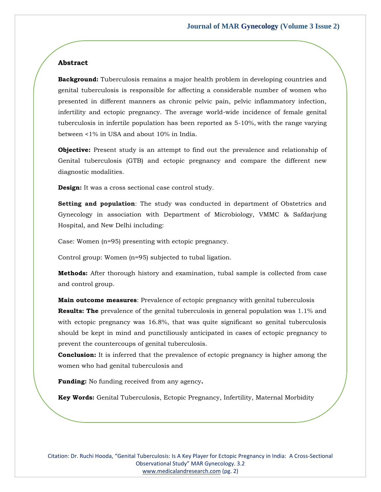# **Abstract**

**Background:** Tuberculosis remains a major health problem in developing countries and genital tuberculosis is responsible for affecting a considerable number of women who presented in different manners as chronic pelvic pain, pelvic inflammatory infection, infertility and ectopic pregnancy. The average world-wide incidence of female genital tuberculosis in infertile population has been reported as 5-10%, with the range varying between <1% in USA and about 10% in India.

**Objective:** Present study is an attempt to find out the prevalence and relationship of Genital tuberculosis (GTB) and ectopic pregnancy and compare the different new diagnostic modalities.

**Design:** It was a cross sectional case control study.

**Setting and population**: The study was conducted in department of Obstetrics and Gynecology in association with Department of Microbiology, VMMC & Safdarjung Hospital, and New Delhi including:

Case: Women (n=95) presenting with ectopic pregnancy.

Control group: Women (n=95) subjected to tubal ligation.

**Methods:** After thorough history and examination, tubal sample is collected from case and control group.

**Main outcome measures**: Prevalence of ectopic pregnancy with genital tuberculosis **Results: The** prevalence of the genital tuberculosis in general population was 1.1% and with ectopic pregnancy was 16.8%, that was quite significant so genital tuberculosis should be kept in mind and [punctiliousl](https://www.google.co.in/search?biw=1366&bih=651&q=define+punctilious&sa=X&ei=G0hAVcLVB8mUuASglID4Ag&ved=0CCMQ_SowAA)y anticipated in cases of ectopic pregnancy to prevent the countercoups of genital tuberculosis.

**Conclusion:** It is inferred that the prevalence of ectopic pregnancy is higher among the women who had genital tuberculosis and

**Funding:** No funding received from any agency**.**

**Key Words:** Genital Tuberculosis, Ectopic Pregnancy, Infertility, Maternal Morbidity

Citation: Dr. Ruchi Hooda, "Genital Tuberculosis: Is A Key Player for Ectopic Pregnancy in India: A Cross-Sectional Observational Study" MAR Gynecology. 3.2 [www.medicalandresearch.com](http://www.medicalandresearch.com/) (pg. 2)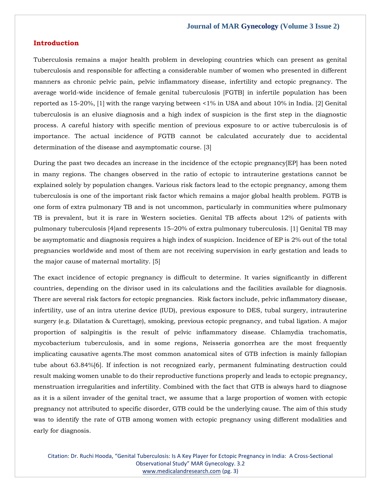#### **Introduction**

Tuberculosis remains a major health problem in developing countries which can present as genital tuberculosis and responsible for affecting a considerable number of women who presented in different manners as chronic pelvic pain, pelvic inflammatory disease, infertility and ectopic pregnancy. The average world-wide incidence of female genital tuberculosis [FGTB] in infertile population has been reported as 15-20%, [1] with the range varying between <1% in USA and about 10% in India. [2] Genital tuberculosis is an elusive diagnosis and a high index of suspicion is the first step in the diagnostic process. A careful history with specific mention of previous exposure to or active tuberculosis is of importance. The actual incidence of FGTB cannot be calculated accurately due to accidental determination of the disease and asymptomatic course. [3]

During the past two decades an increase in the incidence of the ectopic pregnancy[EP] has been noted in many regions. The changes observed in the ratio of ectopic to intrauterine gestations cannot be explained solely by population changes. Various risk factors lead to the ectopic pregnancy, among them tuberculosis is one of the important risk factor which remains a major global health problem. FGTB is one form of extra pulmonary TB and is not uncommon, particularly in communities where pulmonary TB is prevalent, but it is rare in Western societies. Genital TB affects about 12% of patients with pulmonary tuberculosis [4]and represents 15–20% of extra pulmonary tuberculosis. [1] Genital TB may be asymptomatic and diagnosis requires a high index of suspicion. Incidence of EP is 2% out of the total pregnancies worldwide and most of them are not receiving supervision in early gestation and leads to the major cause of maternal mortality. [5]

The exact incidence of ectopic pregnancy is difficult to determine. It varies significantly in different countries, depending on the divisor used in its calculations and the facilities available for diagnosis. There are several risk factors for ectopic pregnancies. Risk factors include, pelvic inflammatory disease, infertility, use of an intra uterine device (IUD), previous exposure to DES, tubal surgery, intrauterine surgery (e.g. Dilatation & Curettage), smoking, previous ectopic pregnancy, and tubal ligation. A major proportion of salpingitis is the result of pelvic inflammatory disease. Chlamydia trachomatis, mycobacterium tuberculosis, and in some regions, Neisseria gonorrhea are the most frequently implicating causative agents.The most common anatomical sites of GTB infection is mainly fallopian tube about 63.84%[6]. If infection is not recognized early, permanent fulminating destruction could result making women unable to do their reproductive functions properly and leads to ectopic pregnancy, menstruation irregularities and infertility. Combined with the fact that GTB is always hard to diagnose as it is a silent invader of the genital tract, we assume that a large proportion of women with ectopic pregnancy not attributed to specific disorder, GTB could be the underlying cause. The aim of this study was to identify the rate of GTB among women with ectopic pregnancy using different modalities and early for diagnosis.

Citation: Dr. Ruchi Hooda, "Genital Tuberculosis: Is A Key Player for Ectopic Pregnancy in India: A Cross-Sectional Observational Study" MAR Gynecology. 3.2 [www.medicalandresearch.com](http://www.medicalandresearch.com/) (pg. 3)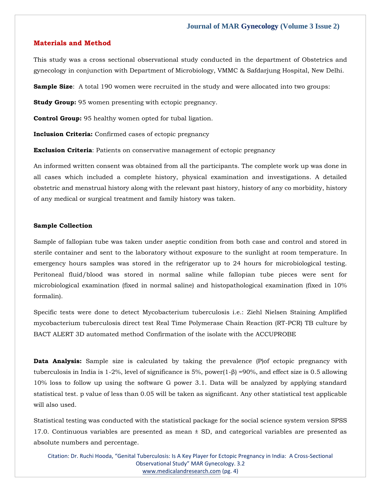#### **Materials and Method**

This study was a cross sectional observational study conducted in the department of Obstetrics and gynecology in conjunction with Department of Microbiology, VMMC & Safdarjung Hospital, New Delhi.

**Sample Size:** A total 190 women were recruited in the study and were allocated into two groups:

**Study Group:** 95 women presenting with ectopic pregnancy.

**Control Group:** 95 healthy women opted for tubal ligation.

**Inclusion Criteria:** Confirmed cases of ectopic pregnancy

**Exclusion Criteria**: Patients on conservative management of ectopic pregnancy

An informed written consent was obtained from all the participants. The complete work up was done in all cases which included a complete history, physical examination and investigations. A detailed obstetric and menstrual history along with the relevant past history, history of any co morbidity, history of any medical or surgical treatment and family history was taken.

#### **Sample Collection**

Sample of fallopian tube was taken under aseptic condition from both case and control and stored in sterile container and sent to the laboratory without exposure to the sunlight at room temperature. In emergency hours samples was stored in the refrigerator up to 24 hours for microbiological testing. Peritoneal fluid/blood was stored in normal saline while fallopian tube pieces were sent for microbiological examination (fixed in normal saline) and histopathological examination (fixed in 10% formalin).

Specific tests were done to detect Mycobacterium tuberculosis i.e.: Ziehl Nielsen Staining Amplified mycobacterium tuberculosis direct test Real Time Polymerase Chain Reaction (RT-PCR) TB culture by BACT ALERT 3D automated method Confirmation of the isolate with the ACCUPROBE

**Data Analysis:** Sample size is calculated by taking the prevalence (P)of ectopic pregnancy with tuberculosis in India is 1-2%, level of significance is 5%, power(1-β) =90%, and effect size is 0.5 allowing 10% loss to follow up using the software G power 3.1. Data will be analyzed by applying standard statistical test. p value of less than 0.05 will be taken as significant. Any other statistical test applicable will also used.

Statistical testing was conducted with the statistical package for the social science system version SPSS 17.0. Continuous variables are presented as mean  $\pm$  SD, and categorical variables are presented as absolute numbers and percentage.

Citation: Dr. Ruchi Hooda, "Genital Tuberculosis: Is A Key Player for Ectopic Pregnancy in India: A Cross-Sectional Observational Study" MAR Gynecology. 3.2 [www.medicalandresearch.com](http://www.medicalandresearch.com/) (pg. 4)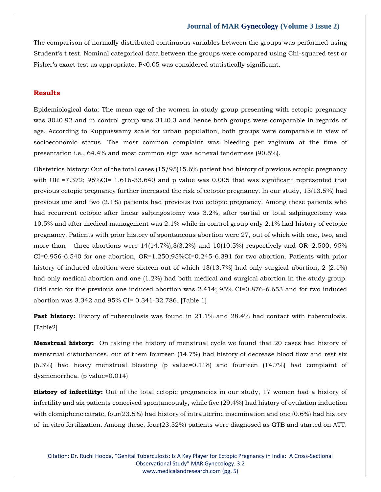The comparison of normally distributed continuous variables between the groups was performed using Student's t test. Nominal categorical data between the groups were compared using Chi-squared test or Fisher's exact test as appropriate. P<0.05 was considered statistically significant.

# **Results**

Epidemiological data: The mean age of the women in study group presenting with ectopic pregnancy was 30±0.92 and in control group was 31±0.3 and hence both groups were comparable in regards of age. According to Kuppuswamy scale for urban population, both groups were comparable in view of socioeconomic status. The most common complaint was bleeding per vaginum at the time of presentation i.e., 64.4% and most common sign was adnexal tenderness (90.5%).

Obstetrics history: Out of the total cases (15/95)15.6% patient had history of previous ectopic pregnancy with OR =7.372; 95%CI= 1.616-33.640 and p value was 0.005 that was significant represented that previous ectopic pregnancy further increased the risk of ectopic pregnancy. In our study, 13(13.5%) had previous one and two (2.1%) patients had previous two ectopic pregnancy. Among these patients who had recurrent ectopic after linear salpingostomy was 3.2%, after partial or total salpingectomy was 10.5% and after medical management was 2.1% while in control group only 2.1% had history of ectopic pregnancy. Patients with prior history of spontaneous abortion were 27, out of which with one, two, and more than three abortions were  $14(14.7\%)$ ,  $3(3.2\%)$  and  $10(10.5\%)$  respectively and OR=2.500; 95%  $CI=0.956-6.540$  for one abortion,  $OR=1.250;95\%CI=0.245-6.391$  for two abortion. Patients with prior history of induced abortion were sixteen out of which 13(13.7%) had only surgical abortion, 2 (2.1%) had only medical abortion and one (1.2%) had both medical and surgical abortion in the study group. Odd ratio for the previous one induced abortion was 2.414; 95% CI=0.876-6.653 and for two induced abortion was 3.342 and 95% CI= 0.341-32.786. [Table 1]

**Past history:** History of tuberculosis was found in 21.1% and 28.4% had contact with tuberculosis. [Table2]

**Menstrual history:** On taking the history of menstrual cycle we found that 20 cases had history of menstrual disturbances, out of them fourteen (14.7%) had history of decrease blood flow and rest six (6.3%) had heavy menstrual bleeding (p value=0.118) and fourteen (14.7%) had complaint of dysmenorrhea. (p value=0.014)

**History of infertility:** Out of the total ectopic pregnancies in our study, 17 women had a history of infertility and six patients conceived spontaneously, while five (29.4%) had history of ovulation induction with clomiphene citrate, four(23.5%) had history of intrauterine insemination and one (0.6%) had history of in vitro fertilization. Among these, four(23.52%) patients were diagnosed as GTB and started on ATT.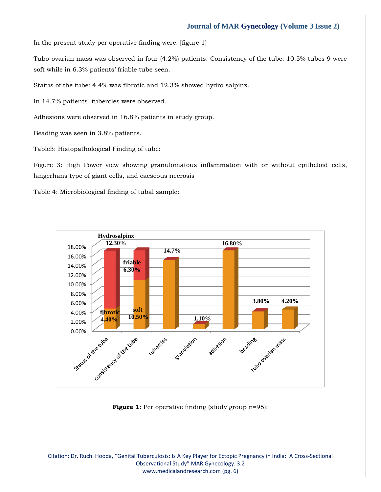In the present study per operative finding were: [figure 1]

Tubo-ovarian mass was observed in four (4.2%) patients. Consistency of the tube: 10.5% tubes 9 were soft while in 6.3% patients' friable tube seen.

Status of the tube: 4.4% was fibrotic and 12.3% showed hydro salpinx.

In 14.7% patients, tubercles were observed.

Adhesions were observed in 16.8% patients in study group.

Beading was seen in 3.8% patients.

Table3: Histopathological Finding of tube:

Figure 3: High Power view showing granulomatous inflammation with or without epitheloid cells, langerhans type of giant cells, and caeseous necrosis

Table 4: Microbiological finding of tubal sample:



**Figure 1:** Per operative finding (study group n=95):

Citation: Dr. Ruchi Hooda, "Genital Tuberculosis: Is A Key Player for Ectopic Pregnancy in India: A Cross-Sectional Observational Study" MAR Gynecology. 3.2 [www.medicalandresearch.com](http://www.medicalandresearch.com/) (pg. 6)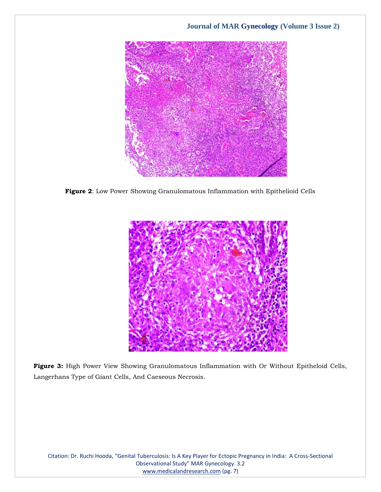

**Figure 2**: Low Power Showing Granulomatous Inflammation with Epithelioid Cells



**Figure 3:** High Power View Showing Granulomatous Inflammation with Or Without Epitheloid Cells, Langerhans Type of Giant Cells, And Caeseous Necrosis.

Citation: Dr. Ruchi Hooda, "Genital Tuberculosis: Is A Key Player for Ectopic Pregnancy in India: A Cross-Sectional Observational Study" MAR Gynecology. 3.2 [www.medicalandresearch.com](http://www.medicalandresearch.com/) (pg. 7)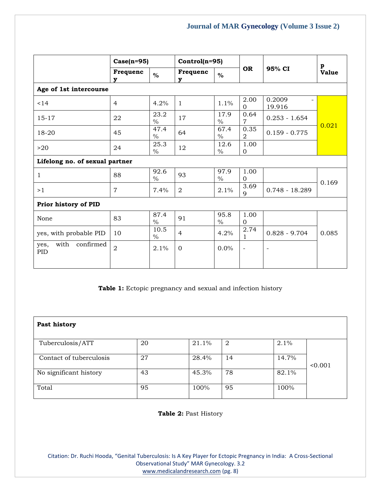|                                  | $Case(n=95)$   |                       | $Control(n=95)$ |                       |                        |                  | p            |  |
|----------------------------------|----------------|-----------------------|-----------------|-----------------------|------------------------|------------------|--------------|--|
|                                  | Frequenc<br>v  | $\%$                  | Frequenc<br>v   | $\%$                  | <b>OR</b>              | 95% CI           | <b>Value</b> |  |
| Age of 1st intercourse           |                |                       |                 |                       |                        |                  |              |  |
| < 14                             | $\overline{4}$ | 4.2%                  | $\mathbf{1}$    | 1.1%                  | 2.00<br>$\Omega$       | 0.2009<br>19.916 |              |  |
| $15 - 17$                        | 22             | 23.2<br>$\frac{0}{0}$ | 17              | 17.9<br>$\frac{0}{0}$ | 0.64<br>$\overline{7}$ | $0.253 - 1.654$  | 0.021        |  |
| 18-20                            | 45             | 47.4<br>$\frac{0}{0}$ | 64              | 67.4<br>$\frac{0}{0}$ | 0.35<br>2              | $0.159 - 0.775$  |              |  |
| >20                              | 24             | 25.3<br>$\frac{0}{0}$ | 12              | 12.6<br>$\%$          | 1.00<br>$\mathbf{0}$   |                  |              |  |
| Lifelong no. of sexual partner   |                |                       |                 |                       |                        |                  |              |  |
| $\mathbf{1}$                     | 88             | 92.6<br>$\frac{0}{0}$ | 93              | 97.9<br>$\%$          | 1.00<br>$\overline{0}$ |                  |              |  |
| >1                               | $\overline{7}$ | 7.4%                  | 2               | 2.1%                  | 3.69<br>9              | $0.748 - 18.289$ | 0.169        |  |
| Prior history of PID             |                |                       |                 |                       |                        |                  |              |  |
| None                             | 83             | 87.4<br>$\frac{0}{0}$ | 91              | 95.8<br>$\frac{0}{0}$ | 1.00<br>$\Omega$       |                  |              |  |
| yes, with probable PID           | 10             | 10.5<br>$\frac{0}{0}$ | $\overline{4}$  | 4.2%                  | 2.74<br>1              | $0.828 - 9.704$  | 0.085        |  |
| confirmed<br>with<br>yes,<br>PID | $\overline{2}$ | 2.1%                  | $\Omega$        | 0.0%                  | $\qquad \qquad -$      |                  |              |  |

**Table 1:** Ectopic pregnancy and sexual and infection history

| Past history            |    |       |    |       |         |
|-------------------------|----|-------|----|-------|---------|
| Tuberculosis/ATT        | 20 | 21.1% | 2  | 2.1%  |         |
| Contact of tuberculosis | 27 | 28.4% | 14 | 14.7% | < 0.001 |
| No significant history  | 43 | 45.3% | 78 | 82.1% |         |
| Total                   | 95 | 100%  | 95 | 100%  |         |

**Table 2:** Past History

Citation: Dr. Ruchi Hooda, "Genital Tuberculosis: Is A Key Player for Ectopic Pregnancy in India: A Cross-Sectional Observational Study" MAR Gynecology. 3.2 [www.medicalandresearch.com](http://www.medicalandresearch.com/) (pg. 8)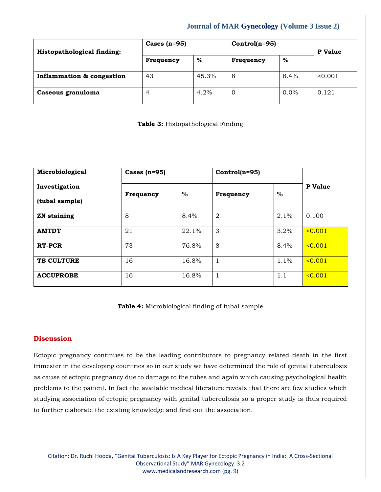| Histopathological finding: | Cases $(n=95)$ |       | $Control(n=95)$ |         | <b>P</b> Value |  |
|----------------------------|----------------|-------|-----------------|---------|----------------|--|
|                            | Frequency      | $\%$  | Frequency       | $\%$    |                |  |
| Inflammation & congestion  | 43             | 45.3% | 8               | $8.4\%$ | < 0.001        |  |
| Caseous granuloma          | 4              | 4.2%  | 0               | $0.0\%$ | 0.121          |  |

**Table 3:** Histopathological Finding

| Microbiological                 | Cases $(n=95)$ |       |                | $Control(n=95)$ |             |
|---------------------------------|----------------|-------|----------------|-----------------|-------------|
| Investigation<br>(tubal sample) | Frequency      | $\%$  | Frequency      | $\%$            | P Value     |
| <b>ZN</b> staining              | 8              | 8.4%  | $\overline{2}$ | 2.1%            | 0.100       |
| <b>AMTDT</b>                    | 21             | 22.1% | 3              | 3.2%            | $\le 0.001$ |
| <b>RT-PCR</b>                   | 73             | 76.8% | 8              | 8.4%            | $\le 0.001$ |
| <b>TB CULTURE</b>               | 16             | 16.8% | $\mathbf{1}$   | 1.1%            | $\le 0.001$ |
| <b>ACCUPROBE</b>                | 16             | 16.8% | 1              | 1.1             | $\le 0.001$ |

**Table 4:** Microbiological finding of tubal sample

# **Discussion**

Ectopic pregnancy continues to be the leading contributors to pregnancy related death in the first trimester in the developing countries so in our study we have determined the role of genital tuberculosis as cause of ectopic pregnancy due to damage to the tubes and again which causing psychological health problems to the patient. In fact the available medical literature reveals that there are few studies which studying association of ectopic pregnancy with genital tuberculosis so a proper study is thus required to further elaborate the existing knowledge and find out the association.

Citation: Dr. Ruchi Hooda, "Genital Tuberculosis: Is A Key Player for Ectopic Pregnancy in India: A Cross-Sectional Observational Study" MAR Gynecology. 3.2 [www.medicalandresearch.com](http://www.medicalandresearch.com/) (pg. 9)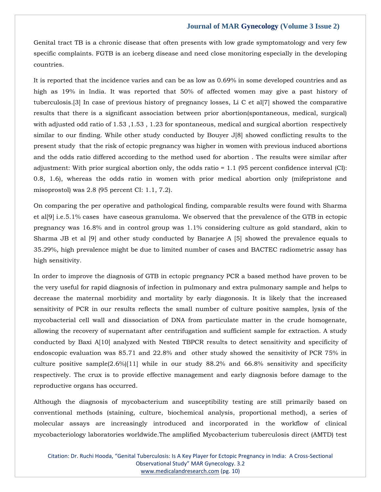Genital tract TB is a chronic disease that often presents with low grade symptomatology and very few specific complaints. FGTB is an iceberg disease and need close monitoring especially in the developing countries.

It is reported that the incidence varies and can be as low as 0.69% in some developed countries and as high as 19% in India. It was reported that 50% of affected women may give a past history of tuberculosis.[3] In case of previous history of pregnancy losses, Li C et al[7] showed the comparative results that there is a significant association between prior abortion(spontaneous, medical, surgical) with adjusted odd ratio of 1.53, 1.53, 1.23 for spontaneous, medical and surgical abortion respectively similar to our finding. While other study conducted by Bouyer J[8] showed conflicting results to the present study that the risk of ectopic pregnancy was higher in women with previous induced abortions and the odds ratio differed according to the method used for abortion . The results were similar after adjustment: With prior surgical abortion only, the odds ratio = 1.1 (95 percent confidence interval (CI): 0.8, 1.6), whereas the odds ratio in women with prior medical abortion only (mifepristone and misoprostol) was 2.8 (95 percent CI: 1.1, 7.2).

On comparing the per operative and pathological finding, comparable results were found with Sharma et al[9] i.e.5.1% cases have caseous granuloma. We observed that the prevalence of the GTB in ectopic pregnancy was 16.8% and in control group was 1.1% considering culture as gold standard, akin to Sharma JB et al [9] and other study conducted by Banarjee A [5] showed the prevalence equals to 35.29%, high prevalence might be due to limited number of cases and BACTEC radiometric assay has high sensitivity.

In order to improve the diagnosis of GTB in ectopic pregnancy PCR a based method have proven to be the very useful for rapid diagnosis of infection in pulmonary and extra pulmonary sample and helps to decrease the maternal morbidity and mortality by early diagonosis. It is likely that the increased sensitivity of PCR in our results reflects the small number of culture positive samples, lysis of the mycobacterial cell wall and dissociation of DNA from particulate matter in the crude homogenate, allowing the recovery of supernatant after centrifugation and sufficient sample for extraction. A study conducted by Baxi A[10] analyzed with Nested TBPCR results to detect sensitivity and specificity of endoscopic evaluation was 85.71 and 22.8% and other study showed the sensitivity of PCR 75% in culture positive sample $(2.6\%/11]$  while in our study 88.2% and 66.8% sensitivity and specificity respectively. The crux is to provide effective management and early diagnosis before damage to the reproductive organs has occurred.

Although the diagnosis of mycobacterium and susceptibility testing are still primarily based on conventional methods (staining, culture, biochemical analysis, proportional method), a series of molecular assays are increasingly introduced and incorporated in the workflow of clinical mycobacteriology laboratories worldwide.The amplified Mycobacterium tuberculosis direct (AMTD) test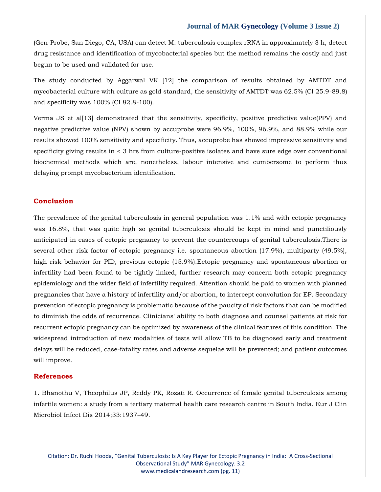(Gen-Probe, San Diego, CA, USA) can detect M. tuberculosis complex rRNA in approximately 3 h, detect drug resistance and identification of mycobacterial species but the method remains the costly and just begun to be used and validated for use.

The study conducted by Aggarwal VK [12] the comparison of results obtained by AMTDT and mycobacterial culture with culture as gold standard, the sensitivity of AMTDT was 62.5% (CI 25.9-89.8) and specificity was 100% (CI 82.8-100).

Verma JS et al[13] demonstrated that the sensitivity, specificity, positive predictive value(PPV) and negative predictive value (NPV) shown by accuprobe were 96.9%, 100%, 96.9%, and 88.9% while our results showed 100% sensitivity and specificity. Thus, accuprobe has showed impressive sensitivity and specificity giving results in < 3 hrs from culture-positive isolates and have sure edge over conventional biochemical methods which are, nonetheless, labour intensive and cumbersome to perform thus delaying prompt mycobacterium identification.

# **Conclusion**

The prevalence of the genital tuberculosis in general population was 1.1% and with ectopic pregnancy was 16.8%, that was quite high so genital tuberculosis should be kept in mind and punctiliously anticipated in cases of ectopic pregnancy to prevent the countercoups of genital tuberculosis.There is several other risk factor of ectopic pregnancy i.e. spontaneous abortion (17.9%), multiparty (49.5%), high risk behavior for PID, previous ectopic (15.9%).Ectopic pregnancy and spontaneous abortion or infertility had been found to be tightly linked, further research may concern both ectopic pregnancy epidemiology and the wider field of infertility required. Attention should be paid to women with planned pregnancies that have a history of infertility and/or abortion, to intercept convolution for EP. Secondary prevention of ectopic pregnancy is problematic because of the paucity of risk factors that can be modified to diminish the odds of recurrence. Clinicians' ability to both diagnose and counsel patients at risk for recurrent ectopic pregnancy can be optimized by awareness of the clinical features of this condition. The widespread introduction of new modalities of tests will allow TB to be diagnosed early and treatment delays will be reduced, case-fatality rates and adverse sequelae will be prevented; and patient outcomes will improve.

#### **References**

[1. Bhanothu V, Theophilus JP, Reddy PK, Rozati R. Occurrence of female genital tuberculosis among](https://www.google.com/search?q=Occurrence+of+female+genital+tuberculosis+among+infertile+women%3A+a+study+from+a+tertiary+maternal+health+care+research+centre+in+South+India&oq=Occurrence+of+female+genital+tuberculosis+among+infertile+women%3A+a+study+from+a+tertiary+maternal+health+care+research+centre+in+South+India&aqs=chrome..69i57.487j0j7&sourceid=chrome&ie=UTF-8)  [infertile women: a study from a tertiary maternal health care research centre in South India. Eur J Clin](https://www.google.com/search?q=Occurrence+of+female+genital+tuberculosis+among+infertile+women%3A+a+study+from+a+tertiary+maternal+health+care+research+centre+in+South+India&oq=Occurrence+of+female+genital+tuberculosis+among+infertile+women%3A+a+study+from+a+tertiary+maternal+health+care+research+centre+in+South+India&aqs=chrome..69i57.487j0j7&sourceid=chrome&ie=UTF-8)  [Microbiol Infect Dis 2014;33:1937](https://www.google.com/search?q=Occurrence+of+female+genital+tuberculosis+among+infertile+women%3A+a+study+from+a+tertiary+maternal+health+care+research+centre+in+South+India&oq=Occurrence+of+female+genital+tuberculosis+among+infertile+women%3A+a+study+from+a+tertiary+maternal+health+care+research+centre+in+South+India&aqs=chrome..69i57.487j0j7&sourceid=chrome&ie=UTF-8)–49.

Citation: Dr. Ruchi Hooda, "Genital Tuberculosis: Is A Key Player for Ectopic Pregnancy in India: A Cross-Sectional Observational Study" MAR Gynecology. 3.2 [www.medicalandresearch.com](http://www.medicalandresearch.com/) (pg. 11)